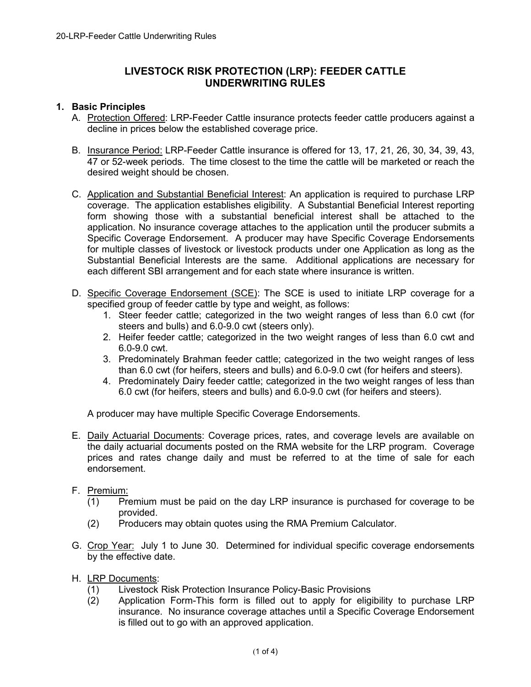# **LIVESTOCK RISK PROTECTION (LRP): FEEDER CATTLE UNDERWRITING RULES**

### **1. Basic Principles**

- A. Protection Offered: LRP-Feeder Cattle insurance protects feeder cattle producers against a decline in prices below the established coverage price.
- B. Insurance Period: LRP-Feeder Cattle insurance is offered for 13, 17, 21, 26, 30, 34, 39, 43, 47 or 52-week periods. The time closest to the time the cattle will be marketed or reach the desired weight should be chosen.
- C. Application and Substantial Beneficial Interest: An application is required to purchase LRP coverage. The application establishes eligibility. A Substantial Beneficial Interest reporting form showing those with a substantial beneficial interest shall be attached to the application. No insurance coverage attaches to the application until the producer submits a Specific Coverage Endorsement. A producer may have Specific Coverage Endorsements for multiple classes of livestock or livestock products under one Application as long as the Substantial Beneficial Interests are the same. Additional applications are necessary for each different SBI arrangement and for each state where insurance is written.
- D. Specific Coverage Endorsement (SCE): The SCE is used to initiate LRP coverage for a specified group of feeder cattle by type and weight, as follows:
	- 1. Steer feeder cattle; categorized in the two weight ranges of less than 6.0 cwt (for steers and bulls) and 6.0-9.0 cwt (steers only).
	- 2. Heifer feeder cattle; categorized in the two weight ranges of less than 6.0 cwt and 6.0-9.0 cwt.
	- 3. Predominately Brahman feeder cattle; categorized in the two weight ranges of less than 6.0 cwt (for heifers, steers and bulls) and 6.0-9.0 cwt (for heifers and steers).
	- 4. Predominately Dairy feeder cattle; categorized in the two weight ranges of less than 6.0 cwt (for heifers, steers and bulls) and 6.0-9.0 cwt (for heifers and steers).

A producer may have multiple Specific Coverage Endorsements.

E. Daily Actuarial Documents: Coverage prices, rates, and coverage levels are available on the daily actuarial documents posted on the RMA website for the LRP program. Coverage prices and rates change daily and must be referred to at the time of sale for each endorsement.

#### F. Premium:

- (1) Premium must be paid on the day LRP insurance is purchased for coverage to be provided.
- (2) Producers may obtain quotes using the RMA Premium Calculator.
- G. Crop Year: July 1 to June 30. Determined for individual specific coverage endorsements by the effective date.
- H. LRP Documents:
	- (1) Livestock Risk Protection Insurance Policy-Basic Provisions
	- (2) Application Form-This form is filled out to apply for eligibility to purchase LRP insurance. No insurance coverage attaches until a Specific Coverage Endorsement is filled out to go with an approved application.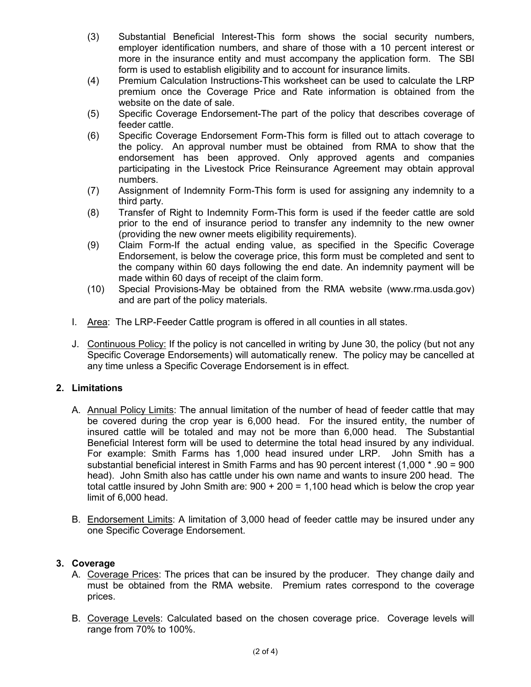- (3) Substantial Beneficial Interest-This form shows the social security numbers, employer identification numbers, and share of those with a 10 percent interest or more in the insurance entity and must accompany the application form. The SBI form is used to establish eligibility and to account for insurance limits.
- (4) Premium Calculation Instructions-This worksheet can be used to calculate the LRP premium once the Coverage Price and Rate information is obtained from the website on the date of sale.
- (5) Specific Coverage Endorsement-The part of the policy that describes coverage of feeder cattle.
- (6) Specific Coverage Endorsement Form-This form is filled out to attach coverage to the policy. An approval number must be obtained from RMA to show that the endorsement has been approved. Only approved agents and companies participating in the Livestock Price Reinsurance Agreement may obtain approval numbers.
- (7) Assignment of Indemnity Form-This form is used for assigning any indemnity to a third party.
- (8) Transfer of Right to Indemnity Form-This form is used if the feeder cattle are sold prior to the end of insurance period to transfer any indemnity to the new owner (providing the new owner meets eligibility requirements).
- (9) Claim Form-If the actual ending value, as specified in the Specific Coverage Endorsement, is below the coverage price, this form must be completed and sent to the company within 60 days following the end date. An indemnity payment will be made within 60 days of receipt of the claim form.
- (10) Special Provisions-May be obtained from the RMA website (www.rma.usda.gov) and are part of the policy materials.
- I. Area: The LRP-Feeder Cattle program is offered in all counties in all states.
- J. Continuous Policy: If the policy is not cancelled in writing by June 30, the policy (but not any Specific Coverage Endorsements) will automatically renew. The policy may be cancelled at any time unless a Specific Coverage Endorsement is in effect.

#### **2. Limitations**

- A. Annual Policy Limits: The annual limitation of the number of head of feeder cattle that may be covered during the crop year is 6,000 head. For the insured entity, the number of insured cattle will be totaled and may not be more than 6,000 head. The Substantial Beneficial Interest form will be used to determine the total head insured by any individual. For example: Smith Farms has 1,000 head insured under LRP. John Smith has a substantial beneficial interest in Smith Farms and has 90 percent interest (1,000 \* .90 = 900 head). John Smith also has cattle under his own name and wants to insure 200 head. The total cattle insured by John Smith are:  $900 + 200 = 1,100$  head which is below the crop year limit of 6,000 head.
- B. Endorsement Limits: A limitation of 3,000 head of feeder cattle may be insured under any one Specific Coverage Endorsement.

### **3. Coverage**

- A. Coverage Prices: The prices that can be insured by the producer. They change daily and must be obtained from the RMA website. Premium rates correspond to the coverage prices.
- B. Coverage Levels: Calculated based on the chosen coverage price. Coverage levels will range from 70% to 100%.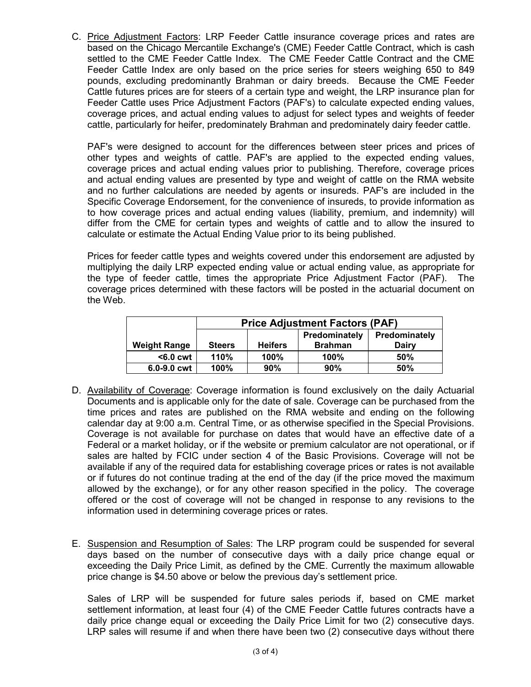C. Price Adjustment Factors: LRP Feeder Cattle insurance coverage prices and rates are based on the Chicago Mercantile Exchange's (CME) Feeder Cattle Contract, which is cash settled to the CME Feeder Cattle Index. The CME Feeder Cattle Contract and the CME Feeder Cattle Index are only based on the price series for steers weighing 650 to 849 pounds, excluding predominantly Brahman or dairy breeds. Because the CME Feeder Cattle futures prices are for steers of a certain type and weight, the LRP insurance plan for Feeder Cattle uses Price Adjustment Factors (PAF's) to calculate expected ending values, coverage prices, and actual ending values to adjust for select types and weights of feeder cattle, particularly for heifer, predominately Brahman and predominately dairy feeder cattle.

PAF's were designed to account for the differences between steer prices and prices of other types and weights of cattle. PAF's are applied to the expected ending values, coverage prices and actual ending values prior to publishing. Therefore, coverage prices and actual ending values are presented by type and weight of cattle on the RMA website and no further calculations are needed by agents or insureds. PAF's are included in the Specific Coverage Endorsement, for the convenience of insureds, to provide information as to how coverage prices and actual ending values (liability, premium, and indemnity) will differ from the CME for certain types and weights of cattle and to allow the insured to calculate or estimate the Actual Ending Value prior to its being published.

Prices for feeder cattle types and weights covered under this endorsement are adjusted by multiplying the daily LRP expected ending value or actual ending value, as appropriate for the type of feeder cattle, times the appropriate Price Adjustment Factor (PAF). The coverage prices determined with these factors will be posted in the actuarial document on the Web.

|                     | <b>Price Adjustment Factors (PAF)</b> |                |                |               |
|---------------------|---------------------------------------|----------------|----------------|---------------|
|                     |                                       |                | Predominately  | Predominately |
| <b>Weight Range</b> | <b>Steers</b>                         | <b>Heifers</b> | <b>Brahman</b> | Dairy         |
| $6.0$ cwt           | 110%                                  | 100%           | 100%           | 50%           |
| 6.0-9.0 cwt         | 100%                                  | 90%            | 90%            | 50%           |

- D. Availability of Coverage: Coverage information is found exclusively on the daily Actuarial Documents and is applicable only for the date of sale. Coverage can be purchased from the time prices and rates are published on the RMA website and ending on the following calendar day at 9:00 a.m. Central Time, or as otherwise specified in the Special Provisions. Coverage is not available for purchase on dates that would have an effective date of a Federal or a market holiday, or if the website or premium calculator are not operational, or if sales are halted by FCIC under section 4 of the Basic Provisions. Coverage will not be available if any of the required data for establishing coverage prices or rates is not available or if futures do not continue trading at the end of the day (if the price moved the maximum allowed by the exchange), or for any other reason specified in the policy. The coverage offered or the cost of coverage will not be changed in response to any revisions to the information used in determining coverage prices or rates.
- E. Suspension and Resumption of Sales: The LRP program could be suspended for several days based on the number of consecutive days with a daily price change equal or exceeding the Daily Price Limit, as defined by the CME. Currently the maximum allowable price change is \$4.50 above or below the previous day's settlement price.

Sales of LRP will be suspended for future sales periods if, based on CME market settlement information, at least four (4) of the CME Feeder Cattle futures contracts have a daily price change equal or exceeding the Daily Price Limit for two (2) consecutive days. LRP sales will resume if and when there have been two (2) consecutive days without there